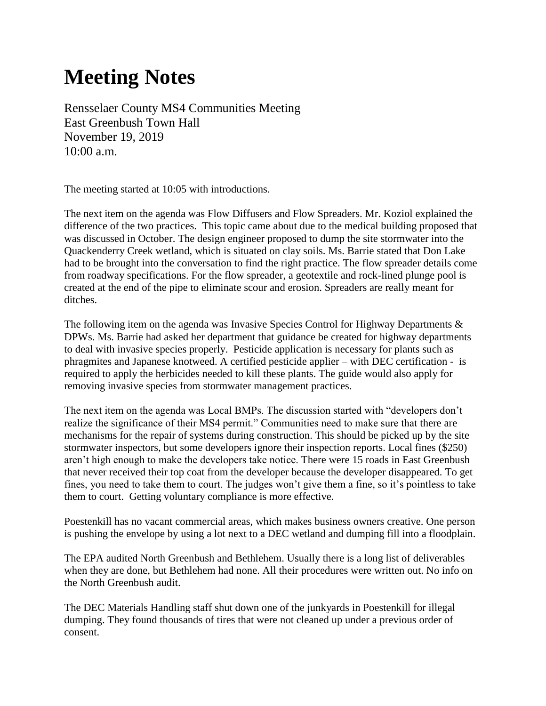## **Meeting Notes**

Rensselaer County MS4 Communities Meeting East Greenbush Town Hall November 19, 2019 10:00 a.m.

The meeting started at 10:05 with introductions.

The next item on the agenda was Flow Diffusers and Flow Spreaders. Mr. Koziol explained the difference of the two practices. This topic came about due to the medical building proposed that was discussed in October. The design engineer proposed to dump the site stormwater into the Quackenderry Creek wetland, which is situated on clay soils. Ms. Barrie stated that Don Lake had to be brought into the conversation to find the right practice. The flow spreader details come from roadway specifications. For the flow spreader, a geotextile and rock-lined plunge pool is created at the end of the pipe to eliminate scour and erosion. Spreaders are really meant for ditches.

The following item on the agenda was Invasive Species Control for Highway Departments  $\&$ DPWs. Ms. Barrie had asked her department that guidance be created for highway departments to deal with invasive species properly. Pesticide application is necessary for plants such as phragmites and Japanese knotweed. A certified pesticide applier – with DEC certification - is required to apply the herbicides needed to kill these plants. The guide would also apply for removing invasive species from stormwater management practices.

The next item on the agenda was Local BMPs. The discussion started with "developers don't realize the significance of their MS4 permit." Communities need to make sure that there are mechanisms for the repair of systems during construction. This should be picked up by the site stormwater inspectors, but some developers ignore their inspection reports. Local fines (\$250) aren't high enough to make the developers take notice. There were 15 roads in East Greenbush that never received their top coat from the developer because the developer disappeared. To get fines, you need to take them to court. The judges won't give them a fine, so it's pointless to take them to court. Getting voluntary compliance is more effective.

Poestenkill has no vacant commercial areas, which makes business owners creative. One person is pushing the envelope by using a lot next to a DEC wetland and dumping fill into a floodplain.

The EPA audited North Greenbush and Bethlehem. Usually there is a long list of deliverables when they are done, but Bethlehem had none. All their procedures were written out. No info on the North Greenbush audit.

The DEC Materials Handling staff shut down one of the junkyards in Poestenkill for illegal dumping. They found thousands of tires that were not cleaned up under a previous order of consent.